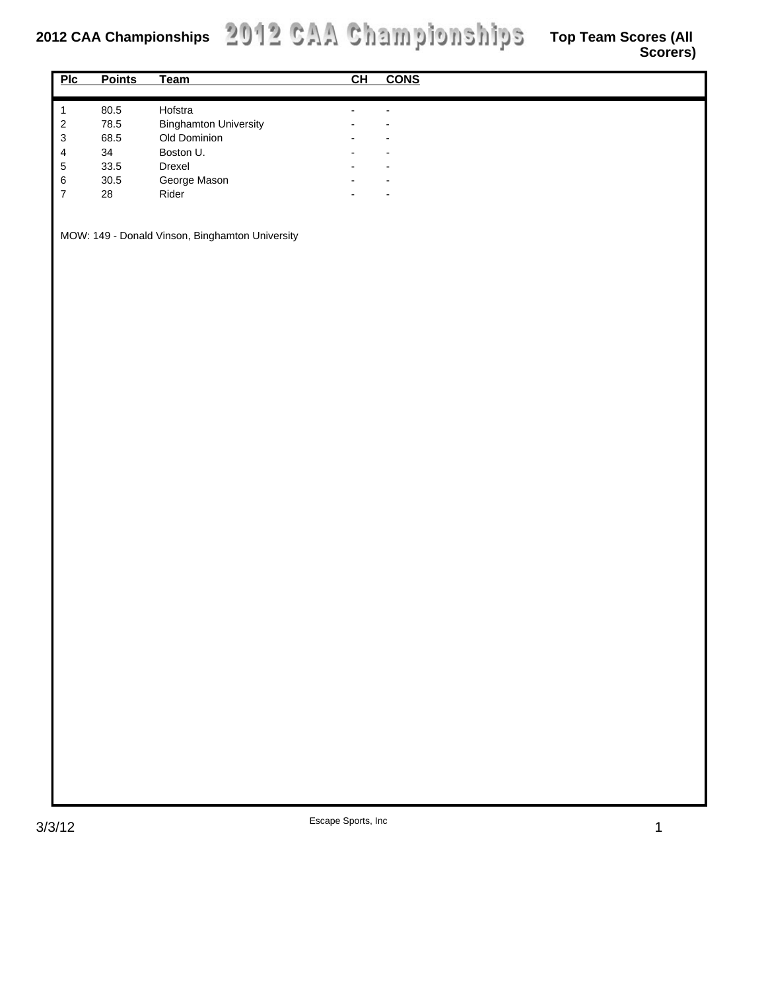|                                                 |               |                              |                          |                          | -. -. - <i>,</i> |
|-------------------------------------------------|---------------|------------------------------|--------------------------|--------------------------|------------------|
| $P$ Ic                                          | <b>Points</b> | <b>Team</b>                  | CH                       | $\overline{\text{cons}}$ |                  |
|                                                 |               |                              |                          |                          |                  |
| $\mathbf 1$                                     | 80.5          | Hofstra                      | $\overline{\phantom{a}}$ | $\overline{\phantom{a}}$ |                  |
| $\sqrt{2}$                                      | 78.5          | <b>Binghamton University</b> |                          |                          |                  |
| $\ensuremath{\mathsf{3}}$                       | 68.5          | Old Dominion                 |                          |                          |                  |
| $\overline{\mathbf{4}}$                         | 34            | Boston U.                    |                          |                          |                  |
| $\sqrt{5}$                                      | 33.5          | Drexel                       |                          |                          |                  |
| $\,6\,$                                         | $30.5\,$      | George Mason                 |                          |                          |                  |
| $\overline{\mathbf{7}}$                         | 28            | Rider                        |                          |                          |                  |
|                                                 |               |                              |                          |                          |                  |
|                                                 |               |                              |                          |                          |                  |
| MOW: 149 - Donald Vinson, Binghamton University |               |                              |                          |                          |                  |
|                                                 |               |                              |                          |                          |                  |
|                                                 |               |                              |                          |                          |                  |
|                                                 |               |                              |                          |                          |                  |
|                                                 |               |                              |                          |                          |                  |
|                                                 |               |                              |                          |                          |                  |
|                                                 |               |                              |                          |                          |                  |
|                                                 |               |                              |                          |                          |                  |
|                                                 |               |                              |                          |                          |                  |
|                                                 |               |                              |                          |                          |                  |
|                                                 |               |                              |                          |                          |                  |
|                                                 |               |                              |                          |                          |                  |
|                                                 |               |                              |                          |                          |                  |
|                                                 |               |                              |                          |                          |                  |
|                                                 |               |                              |                          |                          |                  |
|                                                 |               |                              |                          |                          |                  |
|                                                 |               |                              |                          |                          |                  |
|                                                 |               |                              |                          |                          |                  |
|                                                 |               |                              |                          |                          |                  |
|                                                 |               |                              |                          |                          |                  |
|                                                 |               |                              |                          |                          |                  |
|                                                 |               |                              |                          |                          |                  |
|                                                 |               |                              |                          |                          |                  |
|                                                 |               |                              |                          |                          |                  |
|                                                 |               |                              |                          |                          |                  |
|                                                 |               |                              |                          |                          |                  |
|                                                 |               |                              |                          |                          |                  |
|                                                 |               |                              |                          |                          |                  |
|                                                 |               |                              |                          |                          |                  |
|                                                 |               |                              |                          |                          |                  |
|                                                 |               |                              |                          |                          |                  |
|                                                 |               |                              |                          |                          |                  |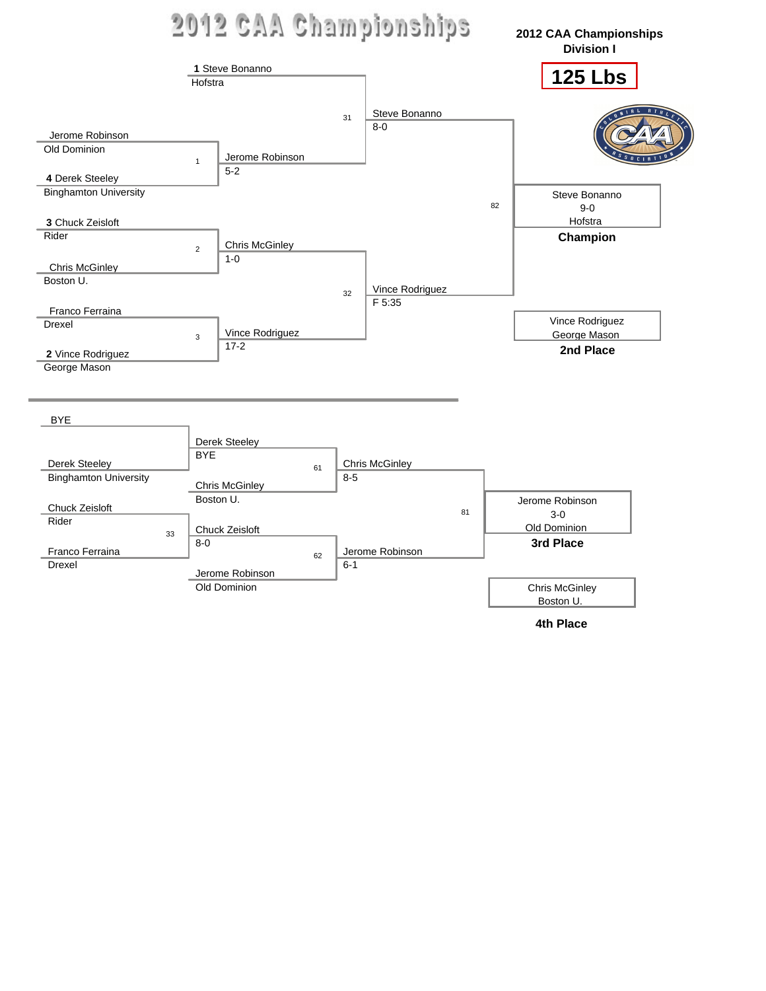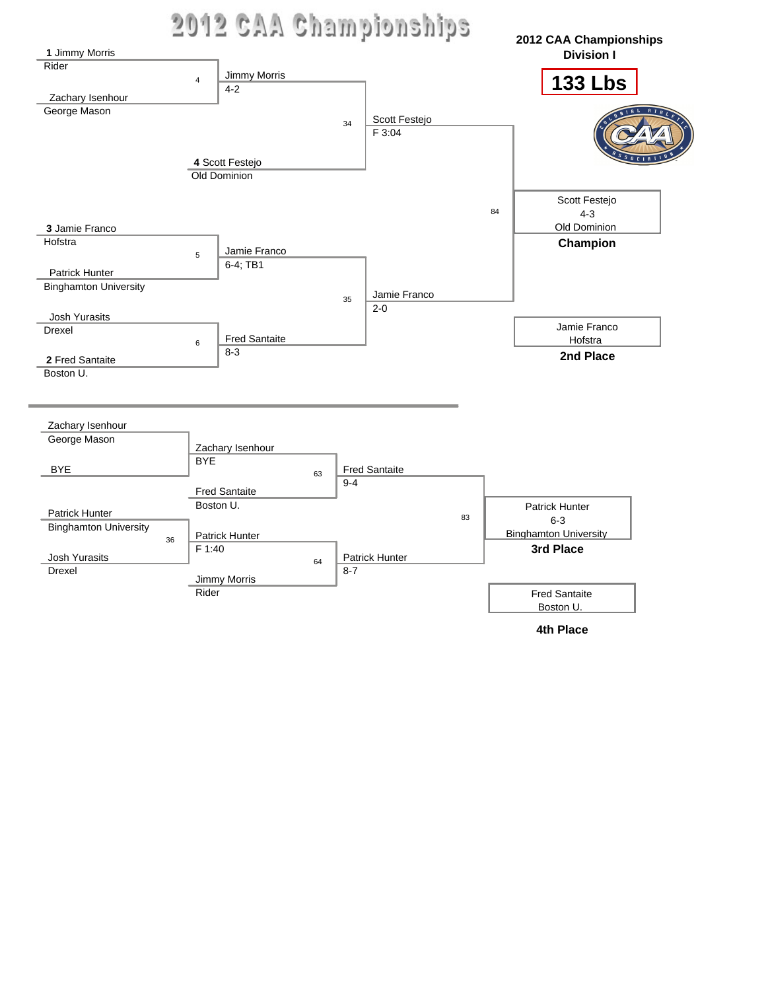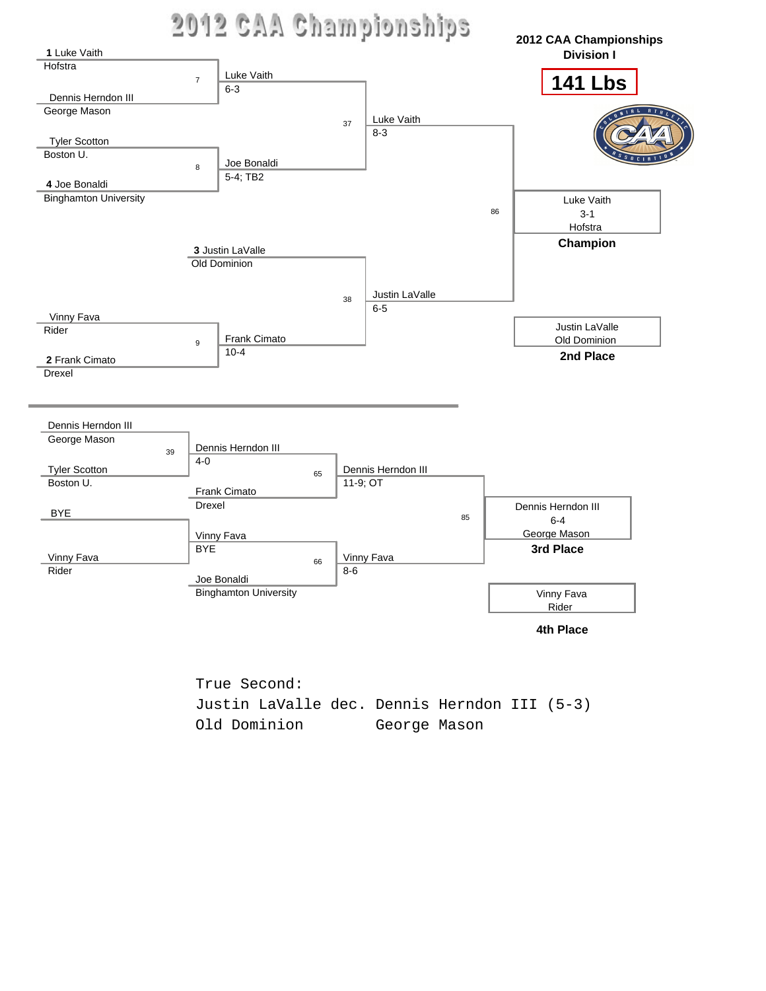



True Second: Justin LaValle dec. Dennis Herndon III (5-3) Old Dominion George Mason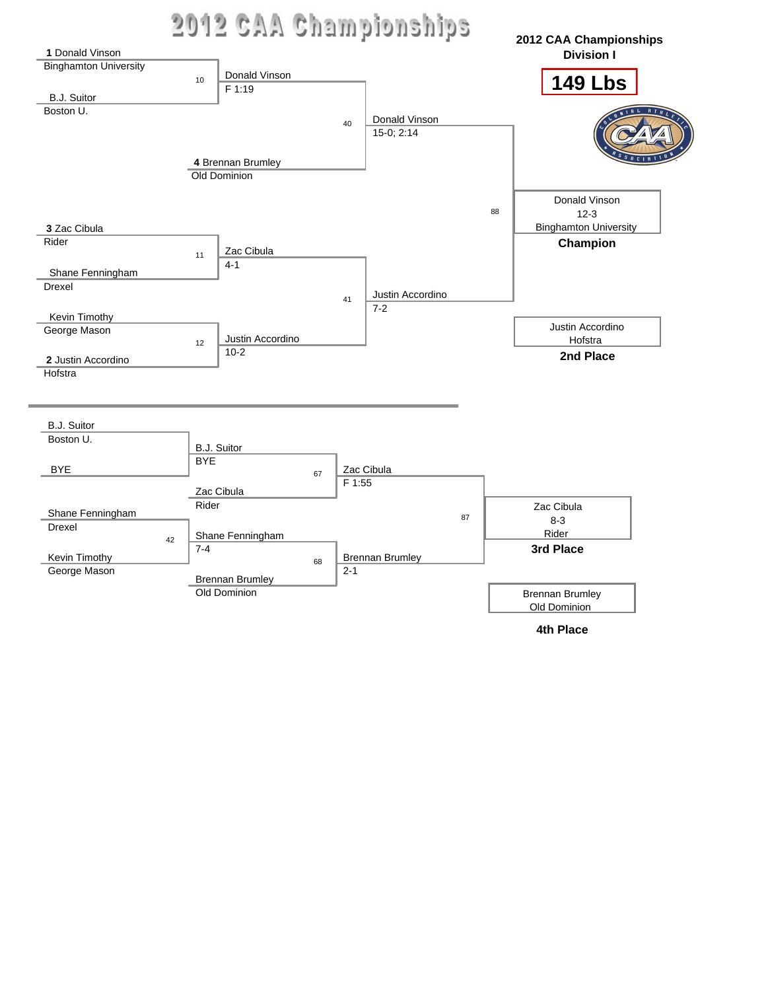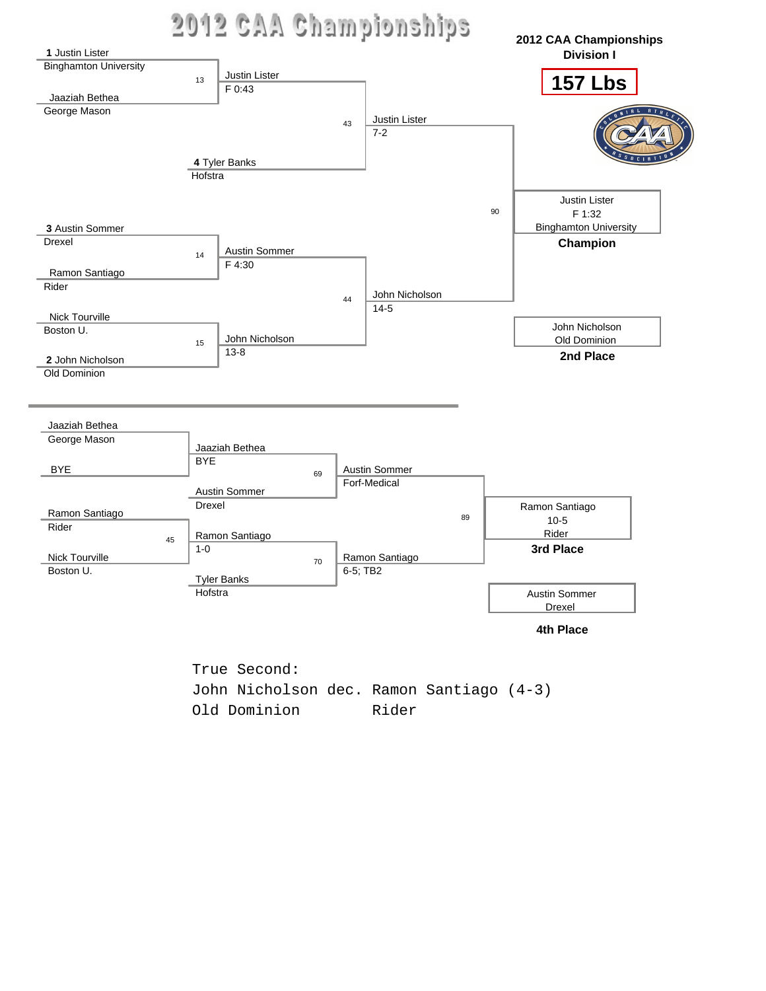



John Nicholson dec. Ramon Santiago (4-3) Old Dominion Rider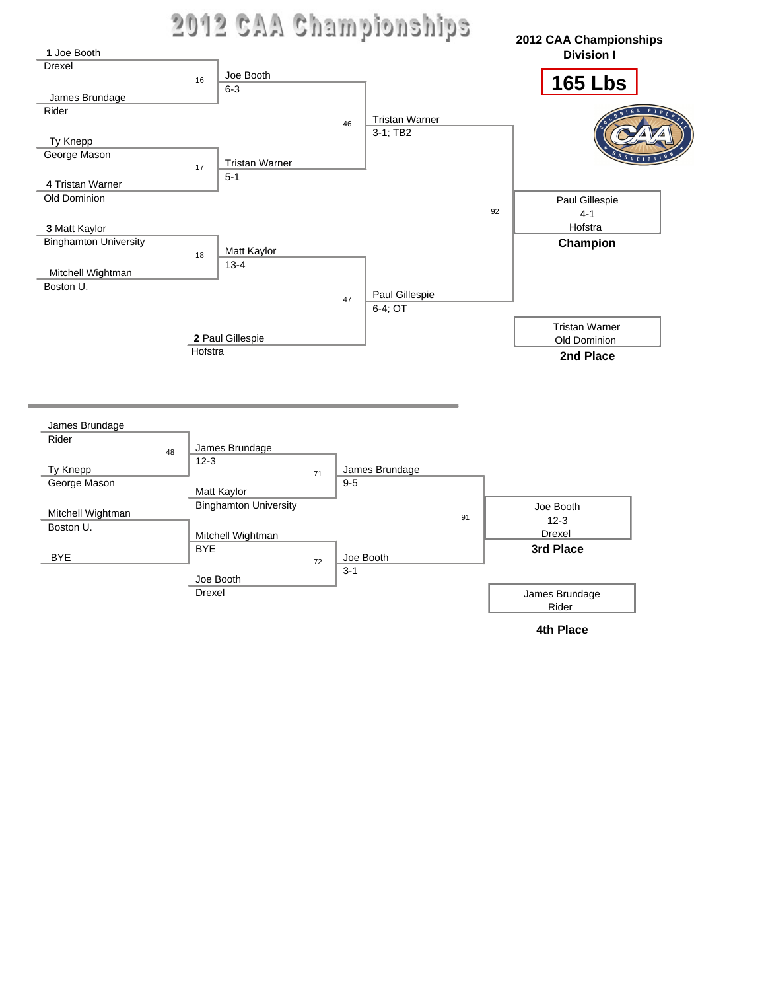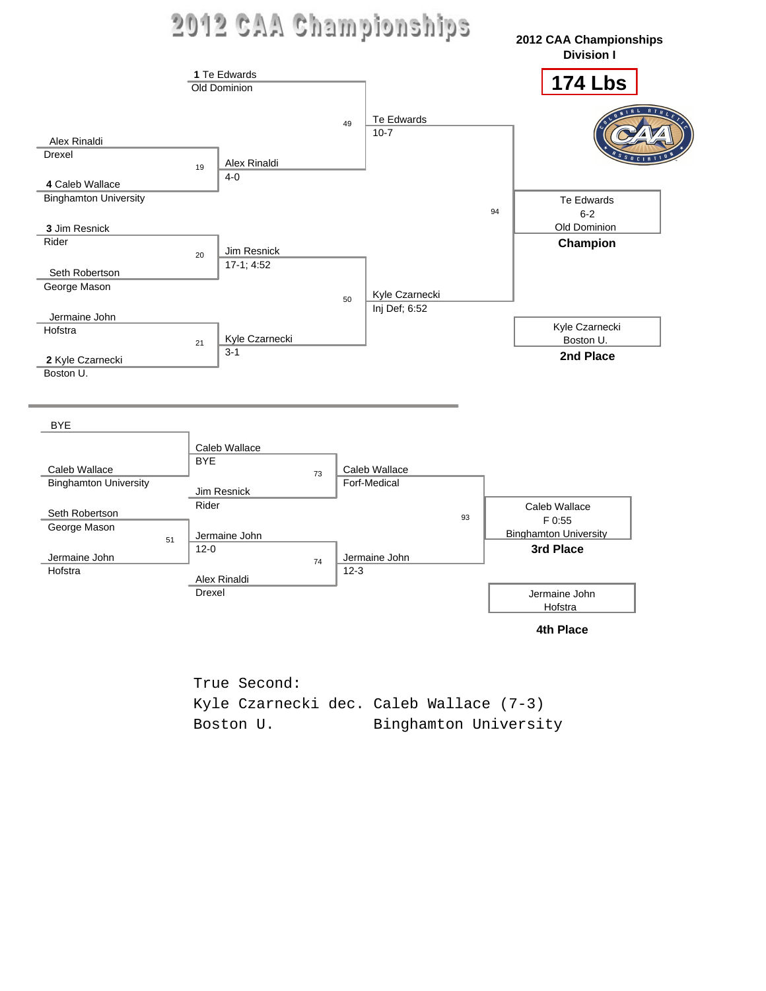

True Second: Kyle Czarnecki dec. Caleb Wallace (7-3) Boston U. Binghamton University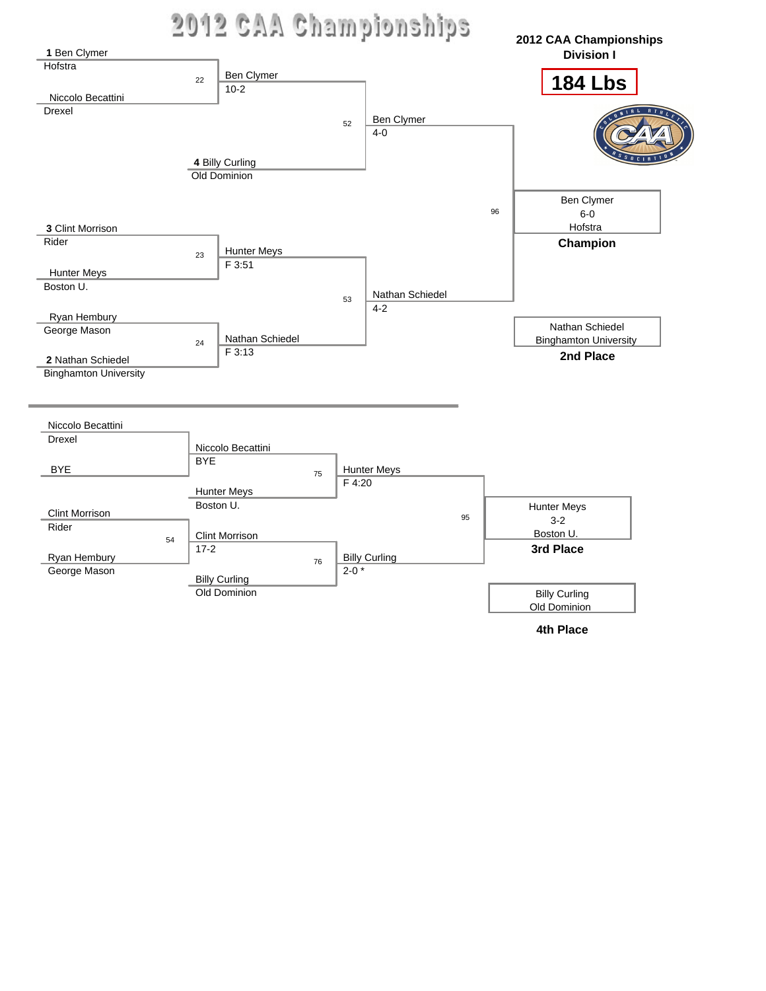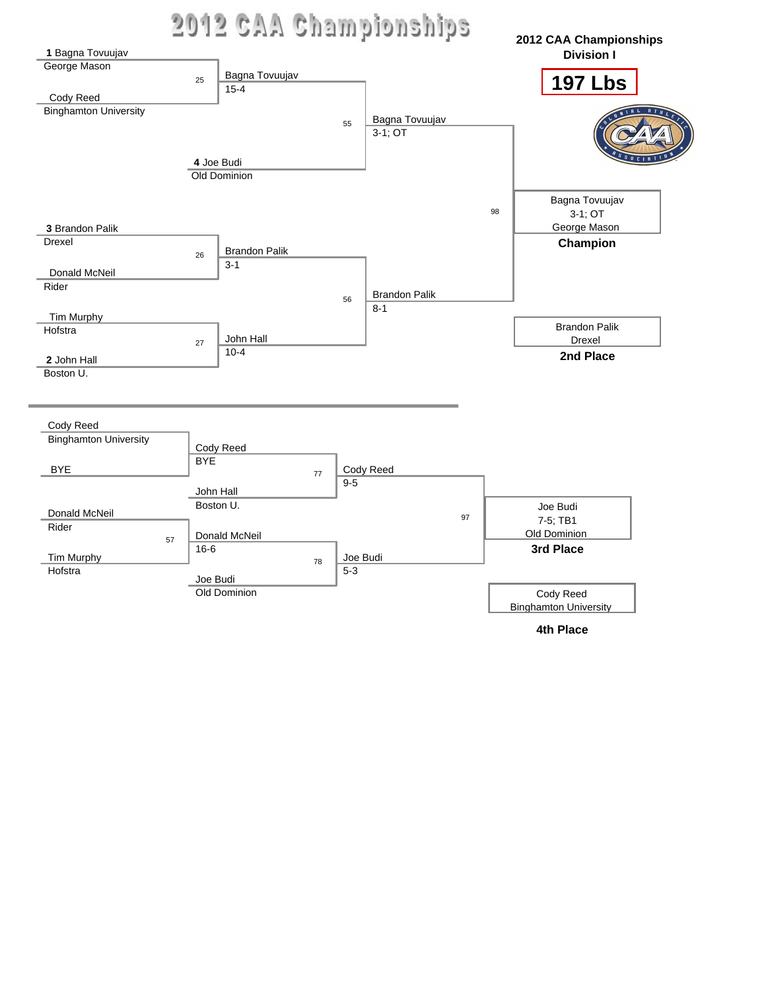